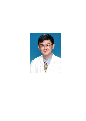